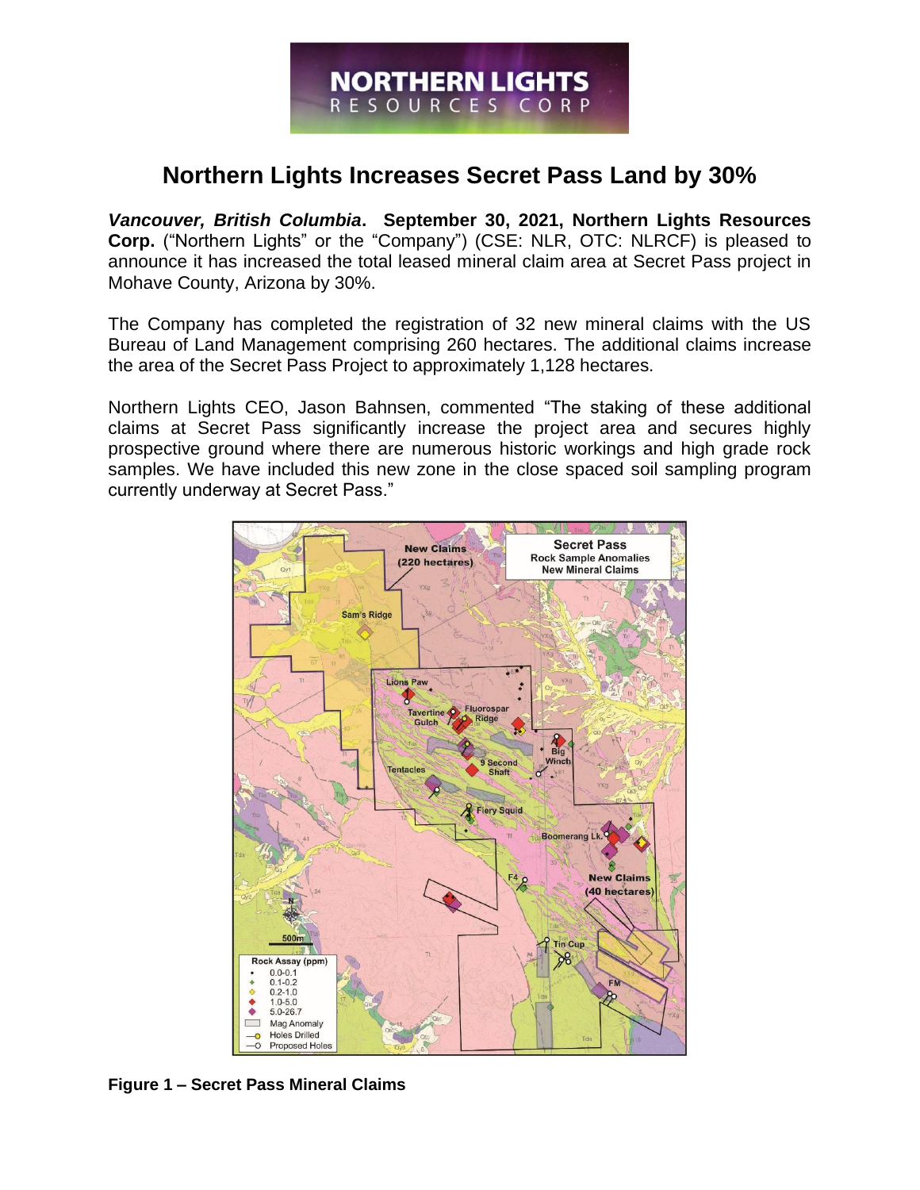# **Northern Lights Increases Secret Pass Land by 30%**

*Vancouver, British Columbia***. September 30, 2021, Northern Lights Resources Corp.** ("Northern Lights" or the "Company") (CSE: NLR, OTC: NLRCF) is pleased to announce it has increased the total leased mineral claim area at Secret Pass project in Mohave County, Arizona by 30%.

The Company has completed the registration of 32 new mineral claims with the US Bureau of Land Management comprising 260 hectares. The additional claims increase the area of the Secret Pass Project to approximately 1,128 hectares.

Northern Lights CEO, Jason Bahnsen, commented "The staking of these additional claims at Secret Pass significantly increase the project area and secures highly prospective ground where there are numerous historic workings and high grade rock samples. We have included this new zone in the close spaced soil sampling program currently underway at Secret Pass."



**Figure 1 – Secret Pass Mineral Claims**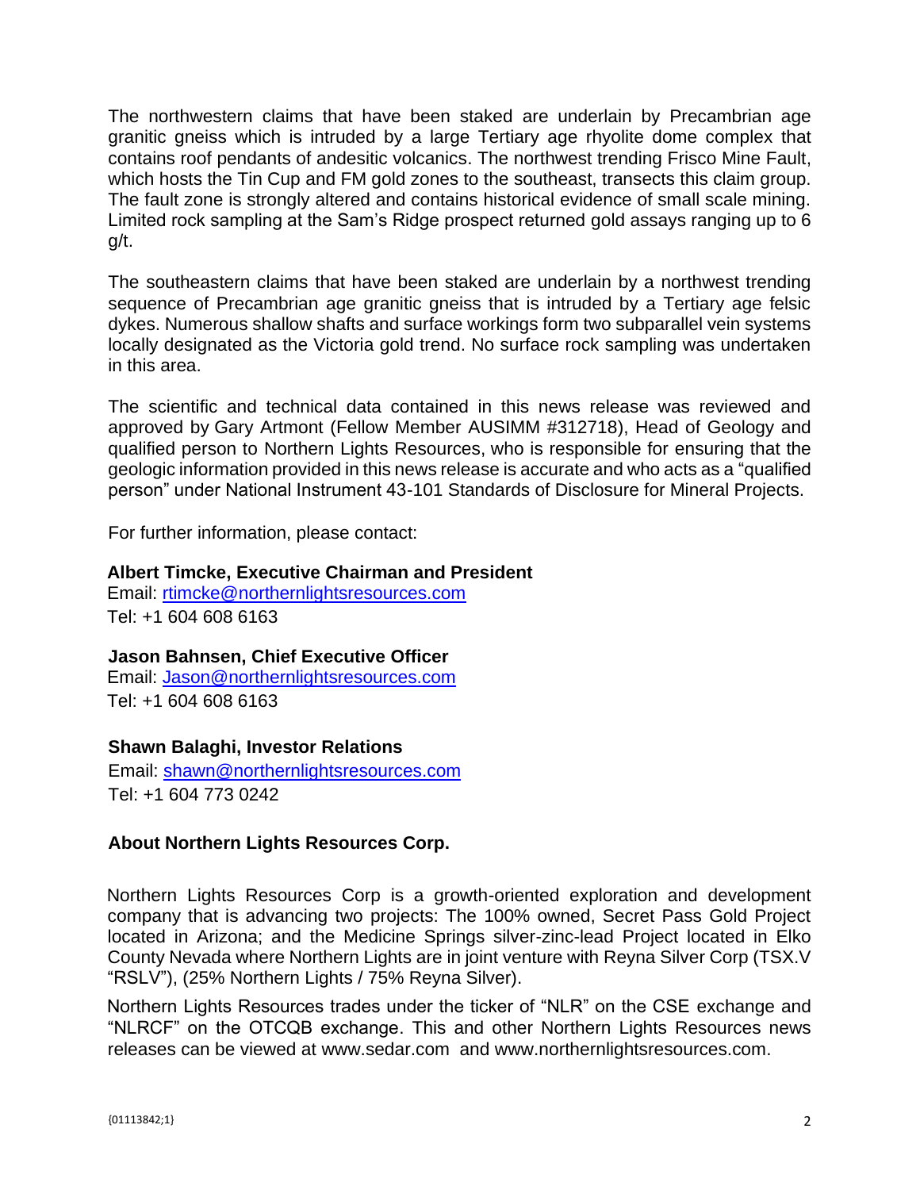The northwestern claims that have been staked are underlain by Precambrian age granitic gneiss which is intruded by a large Tertiary age rhyolite dome complex that contains roof pendants of andesitic volcanics. The northwest trending Frisco Mine Fault, which hosts the Tin Cup and FM gold zones to the southeast, transects this claim group. The fault zone is strongly altered and contains historical evidence of small scale mining. Limited rock sampling at the Sam's Ridge prospect returned gold assays ranging up to 6 g/t.

The southeastern claims that have been staked are underlain by a northwest trending sequence of Precambrian age granitic gneiss that is intruded by a Tertiary age felsic dykes. Numerous shallow shafts and surface workings form two subparallel vein systems locally designated as the Victoria gold trend. No surface rock sampling was undertaken in this area.

The scientific and technical data contained in this news release was reviewed and approved by Gary Artmont (Fellow Member AUSIMM #312718), Head of Geology and qualified person to Northern Lights Resources, who is responsible for ensuring that the geologic information provided in this news release is accurate and who acts as a "qualified person" under National Instrument 43-101 Standards of Disclosure for Mineral Projects.

For further information, please contact:

### **Albert Timcke, Executive Chairman and President**

Email: rtimcke@northernlightsresources.com Tel: +1 604 608 6163

## **Jason Bahnsen, Chief Executive Officer**

Email: Jason@northernlightsresources.com Tel: +1 604 608 6163

## **Shawn Balaghi, Investor Relations**

Email: [shawn@northernlightsresources.com](mailto:shawn@northernlightsresources.com) Tel: +1 604 773 0242

## **About Northern Lights Resources Corp.**

Northern Lights Resources Corp is a growth-oriented exploration and development company that is advancing two projects: The 100% owned, Secret Pass Gold Project located in Arizona; and the Medicine Springs silver-zinc-lead Project located in Elko County Nevada where Northern Lights are in joint venture with Reyna Silver Corp (TSX.V "RSLV"), (25% Northern Lights / 75% Reyna Silver).

Northern Lights Resources trades under the ticker of "NLR" on the CSE exchange and "NLRCF" on the OTCQB exchange. This and other Northern Lights Resources news releases can be viewed at [www.sedar.com](http://www.sedar.com/) and [www.northernlightsresources.com.](http://www.northernlightsresources.com/)